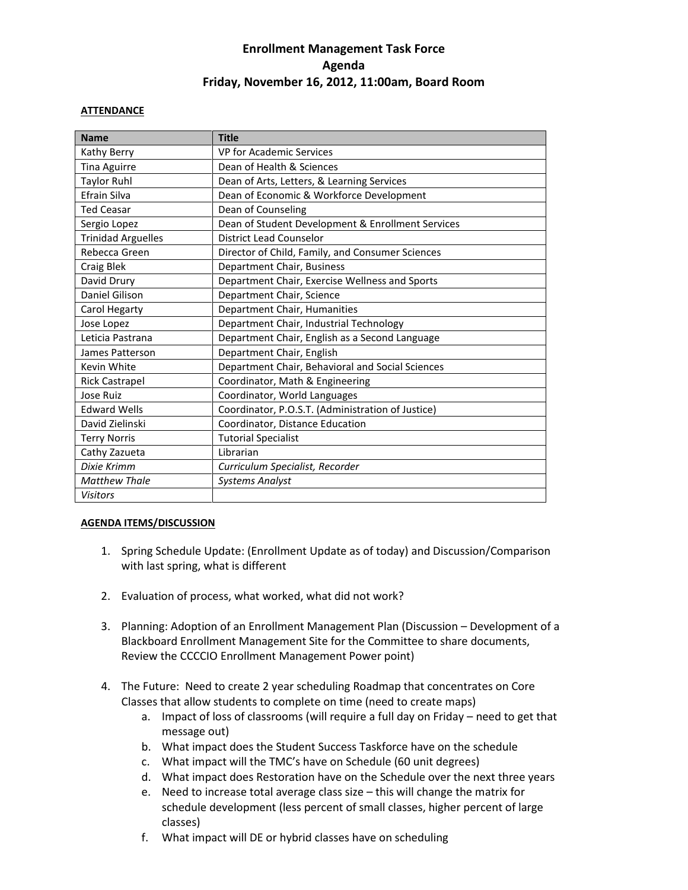## **Enrollment Management Task Force Agenda Friday, November 16, 2012, 11:00am, Board Room**

## **ATTENDANCE**

| <b>Name</b>               | <b>Title</b>                                      |
|---------------------------|---------------------------------------------------|
| Kathy Berry               | VP for Academic Services                          |
| Tina Aguirre              | Dean of Health & Sciences                         |
| <b>Taylor Ruhl</b>        | Dean of Arts, Letters, & Learning Services        |
| Efrain Silva              | Dean of Economic & Workforce Development          |
| <b>Ted Ceasar</b>         | Dean of Counseling                                |
| Sergio Lopez              | Dean of Student Development & Enrollment Services |
| <b>Trinidad Arguelles</b> | <b>District Lead Counselor</b>                    |
| Rebecca Green             | Director of Child, Family, and Consumer Sciences  |
| Craig Blek                | Department Chair, Business                        |
| David Drury               | Department Chair, Exercise Wellness and Sports    |
| Daniel Gilison            | Department Chair, Science                         |
| Carol Hegarty             | Department Chair, Humanities                      |
| Jose Lopez                | Department Chair, Industrial Technology           |
| Leticia Pastrana          | Department Chair, English as a Second Language    |
| James Patterson           | Department Chair, English                         |
| Kevin White               | Department Chair, Behavioral and Social Sciences  |
| <b>Rick Castrapel</b>     | Coordinator, Math & Engineering                   |
| Jose Ruiz                 | Coordinator, World Languages                      |
| <b>Edward Wells</b>       | Coordinator, P.O.S.T. (Administration of Justice) |
| David Zielinski           | Coordinator, Distance Education                   |
| <b>Terry Norris</b>       | <b>Tutorial Specialist</b>                        |
| Cathy Zazueta             | Librarian                                         |
| Dixie Krimm               | Curriculum Specialist, Recorder                   |
| <b>Matthew Thale</b>      | <b>Systems Analyst</b>                            |
| <b>Visitors</b>           |                                                   |

## **AGENDA ITEMS/DISCUSSION**

- 1. Spring Schedule Update: (Enrollment Update as of today) and Discussion/Comparison with last spring, what is different
- 2. Evaluation of process, what worked, what did not work?
- 3. Planning: Adoption of an Enrollment Management Plan (Discussion Development of a Blackboard Enrollment Management Site for the Committee to share documents, Review the CCCCIO Enrollment Management Power point)
- 4. The Future: Need to create 2 year scheduling Roadmap that concentrates on Core Classes that allow students to complete on time (need to create maps)
	- a. Impact of loss of classrooms (will require a full day on Friday need to get that message out)
	- b. What impact does the Student Success Taskforce have on the schedule
	- c. What impact will the TMC's have on Schedule (60 unit degrees)
	- d. What impact does Restoration have on the Schedule over the next three years
	- e. Need to increase total average class size this will change the matrix for schedule development (less percent of small classes, higher percent of large classes)
	- f. What impact will DE or hybrid classes have on scheduling